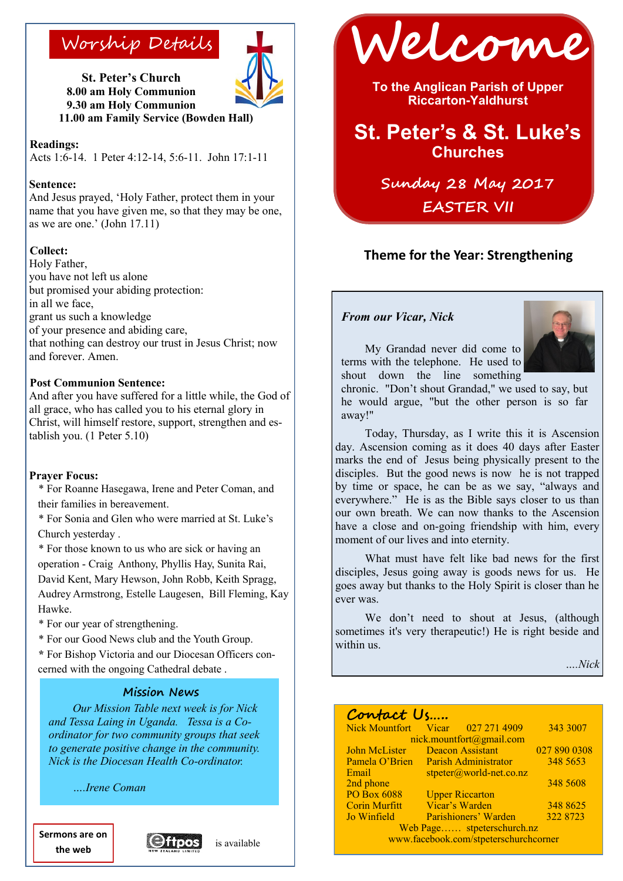

**St. Peter's Church 8.00 am Holy Communion 9.30 am Holy Communion 11.00 am Family Service (Bowden Hall)**

**Readings:** 

Acts 1:6-14. 1 Peter 4:12-14, 5:6-11. John 17:1-11

#### **Sentence:**

And Jesus prayed, 'Holy Father, protect them in your name that you have given me, so that they may be one, as we are one.' (John 17.11)

#### **Collect:**

Holy Father, you have not left us alone but promised your abiding protection: in all we face, grant us such a knowledge of your presence and abiding care, that nothing can destroy our trust in Jesus Christ; now and forever. Amen.

#### **Post Communion Sentence:**

And after you have suffered for a little while, the God of all grace, who has called you to his eternal glory in Christ, will himself restore, support, strengthen and establish you. (1 Peter 5.10)

#### **Prayer Focus:**

\* For Roanne Hasegawa, Irene and Peter Coman, and their families in bereavement.

\* For Sonia and Glen who were married at St. Luke's Church yesterday .

\* For those known to us who are sick or having an

operation - Craig Anthony, Phyllis Hay, Sunita Rai, David Kent, Mary Hewson, John Robb, Keith Spragg, Audrey Armstrong, Estelle Laugesen, Bill Fleming, Kay Hawke.

\* For our year of strengthening.

\* For our Good News club and the Youth Group.

**\*** For Bishop Victoria and our Diocesan Officers concerned with the ongoing Cathedral debate .

#### **Mission News**

*Our Mission Table next week is for Nick and Tessa Laing in Uganda. Tessa is a Coordinator for two community groups that seek to generate positive change in the community. Nick is the Diocesan Health Co-ordinator.*

*….Irene Coman* 

**Sermons are on the web**





Worship Details **Welcome** 

**To the Anglican Parish of Upper Riccarton-Yaldhurst**

# **St. Peter's & St. Luke's Churches**

**Sunday 28 May 2017 EASTER VII**

### **Theme for the Year: Strengthening**

#### *From our Vicar, Nick*



My Grandad never did come to terms with the telephone. He used to shout down the line something

chronic. "Don't shout Grandad," we used to say, but he would argue, "but the other person is so far away!"

Today, Thursday, as I write this it is Ascension day. Ascension coming as it does 40 days after Easter marks the end of Jesus being physically present to the disciples. But the good news is now he is not trapped by time or space, he can be as we say, "always and everywhere." He is as the Bible says closer to us than our own breath. We can now thanks to the Ascension have a close and on-going friendship with him, every moment of our lives and into eternity.

What must have felt like bad news for the first disciples, Jesus going away is goods news for us. He goes away but thanks to the Holy Spirit is closer than he ever was.

We don't need to shout at Jesus, (although sometimes it's very therapeutic!) He is right beside and within us.

*….Nick*

### **Contact Us…..**

| Nick Mountfort Vicar 027 271 4909     |                           |                        | 343 3007     |
|---------------------------------------|---------------------------|------------------------|--------------|
| nick.mountfort@gmail.com              |                           |                        |              |
| John McLister                         | <b>Deacon Assistant</b>   |                        | 027 890 0308 |
| Pamela O'Brien                        | Parish Administrator      |                        | 348 5653     |
| Email                                 | $stpeter@world-net.co.nz$ |                        |              |
| 2nd phone                             |                           |                        | 348 5608     |
| <b>PO Box 6088</b>                    |                           | <b>Upper Riccarton</b> |              |
| <b>Corin Murfitt</b>                  | Vicar's Warden            |                        | 348 8625     |
| Jo Winfield                           |                           | Parishioners' Warden   | 322 8723     |
| Web Page stpeterschurch.nz            |                           |                        |              |
| www.facebook.com/stpeterschurchcorner |                           |                        |              |